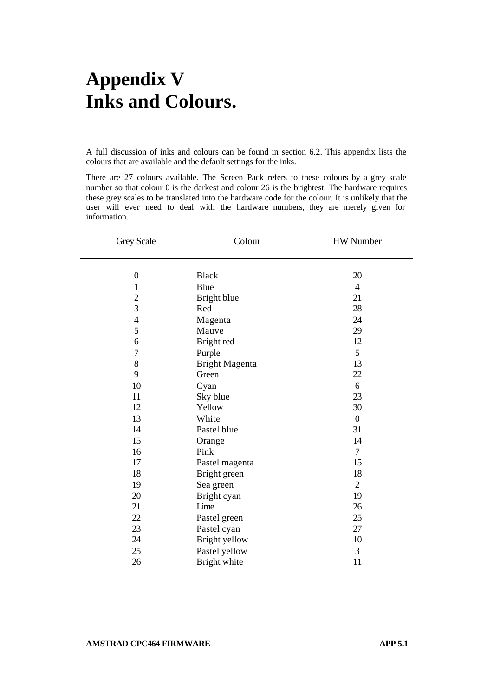## **Appendix V Inks and Colours.**

A full discussion of inks and colours can be found in section 6.2. This appendix lists the colours that are available and the default settings for the inks.

There are 27 colours available. The Screen Pack refers to these colours by a grey scale number so that colour 0 is the darkest and colour 26 is the brightest. The hardware requires these grey scales to be translated into the hardware code for the colour. It is unlikely that the user will ever need to deal with the hardware numbers, they are merely given for information.

| Grey Scale     | Colour         | HW Number        |
|----------------|----------------|------------------|
|                |                |                  |
| $\theta$       | <b>Black</b>   | 20               |
| $\mathbf{1}$   | Blue           | $\overline{4}$   |
| $\overline{c}$ | Bright blue    | 21               |
| $\overline{3}$ | Red            | 28               |
| $\overline{4}$ | Magenta        | 24               |
| 5              | Mauve          | 29               |
| 6              | Bright red     | 12               |
| 7              | Purple         | 5                |
| 8              | Bright Magenta | 13               |
| 9              | Green          | 22               |
| 10             | Cyan           | 6                |
| 11             | Sky blue       | 23               |
| 12             | Yellow         | 30               |
| 13             | White          | $\boldsymbol{0}$ |
| 14             | Pastel blue    | 31               |
| 15             | Orange         | 14               |
| 16             | Pink           | 7                |
| 17             | Pastel magenta | 15               |
| 18             | Bright green   | 18               |
| 19             | Sea green      | $\overline{c}$   |
| 20             | Bright cyan    | 19               |
| 21             | Lime           | 26               |
| 22             | Pastel green   | 25               |
| 23             | Pastel cyan    | 27               |
| 24             | Bright yellow  | 10               |
| 25             | Pastel yellow  | 3                |
| 26             | Bright white   | 11               |